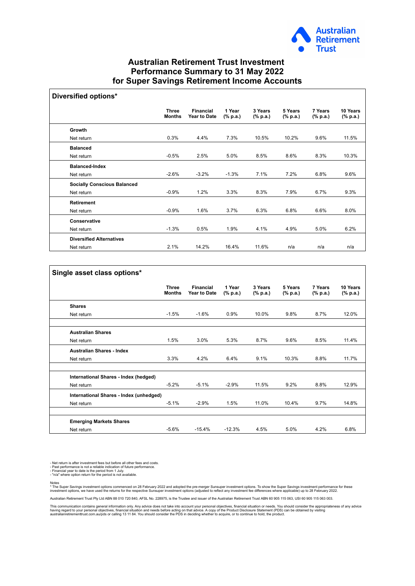

## **Australian Retirement Trust Investment Performance Summary to 31 May 2022 for Super Savings Retirement Income Accounts**

| <b>Diversified options*</b>        |                               |                                  |                    |                     |                     |                     |                      |
|------------------------------------|-------------------------------|----------------------------------|--------------------|---------------------|---------------------|---------------------|----------------------|
|                                    | <b>Three</b><br><b>Months</b> | <b>Financial</b><br>Year to Date | 1 Year<br>(% p.a.) | 3 Years<br>(% p.a.) | 5 Years<br>(% p.a.) | 7 Years<br>(% p.a.) | 10 Years<br>(% p.a.) |
| Growth                             |                               |                                  |                    |                     |                     |                     |                      |
| Net return                         | 0.3%                          | 4.4%                             | 7.3%               | 10.5%               | 10.2%               | 9.6%                | 11.5%                |
| <b>Balanced</b>                    |                               |                                  |                    |                     |                     |                     |                      |
| Net return                         | $-0.5%$                       | 2.5%                             | 5.0%               | 8.5%                | 8.6%                | 8.3%                | 10.3%                |
| <b>Balanced-Index</b>              |                               |                                  |                    |                     |                     |                     |                      |
| Net return                         | $-2.6%$                       | $-3.2%$                          | $-1.3%$            | 7.1%                | 7.2%                | 6.8%                | 9.6%                 |
| <b>Socially Conscious Balanced</b> |                               |                                  |                    |                     |                     |                     |                      |
| Net return                         | $-0.9%$                       | 1.2%                             | 3.3%               | 8.3%                | 7.9%                | 6.7%                | 9.3%                 |
| <b>Retirement</b>                  |                               |                                  |                    |                     |                     |                     |                      |
| Net return                         | $-0.9%$                       | 1.6%                             | 3.7%               | 6.3%                | 6.8%                | 6.6%                | 8.0%                 |
| Conservative                       |                               |                                  |                    |                     |                     |                     |                      |
| Net return                         | $-1.3%$                       | 0.5%                             | 1.9%               | 4.1%                | 4.9%                | 5.0%                | 6.2%                 |
| <b>Diversified Alternatives</b>    |                               |                                  |                    |                     |                     |                     |                      |
| Net return                         | 2.1%                          | 14.2%                            | 16.4%              | 11.6%               | n/a                 | n/a                 | n/a                  |

| Single asset class options*             |                               |                                         |                    |                     |                     |                     |                      |
|-----------------------------------------|-------------------------------|-----------------------------------------|--------------------|---------------------|---------------------|---------------------|----------------------|
|                                         | <b>Three</b><br><b>Months</b> | <b>Financial</b><br><b>Year to Date</b> | 1 Year<br>(% p.a.) | 3 Years<br>(% p.a.) | 5 Years<br>(% p.a.) | 7 Years<br>(% p.a.) | 10 Years<br>(% p.a.) |
| <b>Shares</b>                           |                               |                                         |                    |                     |                     |                     |                      |
| Net return                              | $-1.5%$                       | $-1.6%$                                 | 0.9%               | 10.0%               | 9.8%                | 8.7%                | 12.0%                |
| <b>Australian Shares</b>                |                               |                                         |                    |                     |                     |                     |                      |
| Net return                              | 1.5%                          | 3.0%                                    | 5.3%               | 8.7%                | 9.6%                | 8.5%                | 11.4%                |
| <b>Australian Shares - Index</b>        |                               |                                         |                    |                     |                     |                     |                      |
| Net return                              | 3.3%                          | 4.2%                                    | 6.4%               | 9.1%                | 10.3%               | 8.8%                | 11.7%                |
| International Shares - Index (hedged)   |                               |                                         |                    |                     |                     |                     |                      |
| Net return                              | $-5.2%$                       | $-5.1%$                                 | $-2.9%$            | 11.5%               | 9.2%                | 8.8%                | 12.9%                |
| International Shares - Index (unhedged) |                               |                                         |                    |                     |                     |                     |                      |
| Net return                              | $-5.1%$                       | $-2.9%$                                 | 1.5%               | 11.0%               | 10.4%               | 9.7%                | 14.8%                |
| <b>Emerging Markets Shares</b>          |                               |                                         |                    |                     |                     |                     |                      |
| Net return                              | $-5.6%$                       | $-15.4%$                                | $-12.3%$           | 4.5%                | 5.0%                | 4.2%                | 6.8%                 |

- Net return is after investment fees but before all other fees and costs.<br>- Past performance is not a reliable indication of future performance.<br>- Financial year to date is the period from 1 July.<br>- "n/a" where option ret

 $\sqrt{ }$ 

Notes<br>\* The Super Savings investment options commenced on 28 February 2022 and adopted the pre-merger Sunsuper investment options. To show the Super Savings investment performance for these<br>investment options, we have used

Australian Retirement Trust Pty Ltd ABN 88 010 720 840, AFSL No. 228975, is the Trustee and issuer of the Australian Retirement Trust ABN 60 905 115 063, USI 60 905 115 063 003.

This communication contains general information only. Any advice does not take into account your personal objectives, financial situation or needs. You should consider the appropriateness of any advice<br>having regard to you